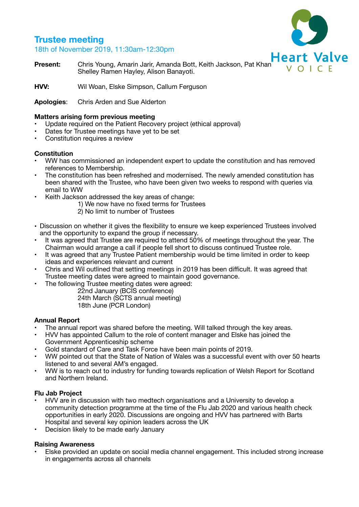# **Trustee meeting**

18th of November 2019, 11:30am-12:30pm



**Present:** Chris Young, Amarin Jarir, Amanda Bott, Keith Jackson, Pat Khan Nulle Art Valve Shelley Ramen Hayley, Alison Banayoti.

**HVV:** Wil Woan, Elske Simpson, Callum Ferguson

**Apologies**: Chris Arden and Sue Alderton

## **Matters arising form previous meeting**

- Update required on the Patient Recovery project (ethical approval)
- Dates for Trustee meetings have yet to be set
- Constitution requires a review

# **Constitution**

- WW has commissioned an independent expert to update the constitution and has removed references to Membership.
- The constitution has been refreshed and modernised. The newly amended constitution has been shared with the Trustee, who have been given two weeks to respond with queries via email to WW
- Keith Jackson addressed the key areas of change:

 1) We now have no fixed terms for Trustees

- 2) No limit to number of Trustees
- Discussion on whether it gives the flexibility to ensure we keep experienced Trustees involved and the opportunity to expand the group if necessary.
- It was agreed that Trustee are required to attend 50% of meetings throughout the year. The Chairman would arrange a call if people fell short to discuss continued Trustee role.
- It was agreed that any Trustee Patient membership would be time limited in order to keep ideas and experiences relevant and current
- Chris and Wil outlined that setting meetings in 2019 has been difficult. It was agreed that Trustee meeting dates were agreed to maintain good governance.
	- The following Trustee meeting dates were agreed:

 22nd January (BCIS conference)

 24th March (SCTS annual meeting)

 18th June (PCR London)

## **Annual Report**

- The annual report was shared before the meeting. Will talked through the key areas.
- HVV has appointed Callum to the role of content manager and Elske has joined the Government Apprenticeship scheme
- Gold standard of Care and Task Force have been main points of 2019.
- WW pointed out that the State of Nation of Wales was a successful event with over 50 hearts listened to and several AM's engaged.
- WW is to reach out to industry for funding towards replication of Welsh Report for Scotland and Northern Ireland.

# **Flu Jab Project**

- HVV are in discussion with two medtech organisations and a University to develop a community detection programme at the time of the Flu Jab 2020 and various health check opportunities in early 2020. Discussions are ongoing and HVV has partnered with Barts Hospital and several key opinion leaders across the UK
- Decision likely to be made early January

# **Raising Awareness**

• Elske provided an update on social media channel engagement. This included strong increase in engagements across all channels